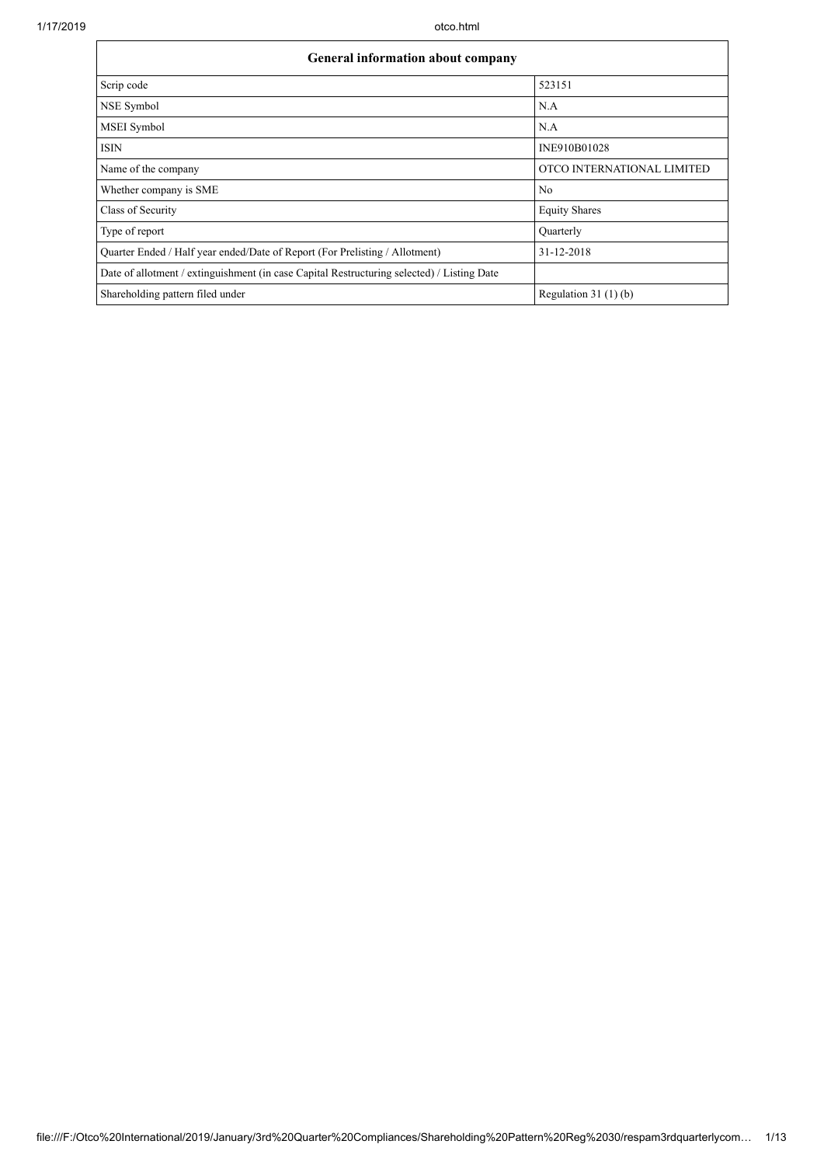| <b>General information about company</b>                                                   |                            |  |  |  |  |  |
|--------------------------------------------------------------------------------------------|----------------------------|--|--|--|--|--|
| Scrip code                                                                                 | 523151                     |  |  |  |  |  |
| NSE Symbol                                                                                 | N.A                        |  |  |  |  |  |
| <b>MSEI</b> Symbol                                                                         | N.A                        |  |  |  |  |  |
| <b>ISIN</b>                                                                                | INE910B01028               |  |  |  |  |  |
| Name of the company                                                                        | OTCO INTERNATIONAL LIMITED |  |  |  |  |  |
| Whether company is SME                                                                     | No                         |  |  |  |  |  |
| Class of Security                                                                          | <b>Equity Shares</b>       |  |  |  |  |  |
| Type of report                                                                             | Ouarterly                  |  |  |  |  |  |
| Quarter Ended / Half year ended/Date of Report (For Prelisting / Allotment)                | 31-12-2018                 |  |  |  |  |  |
| Date of allotment / extinguishment (in case Capital Restructuring selected) / Listing Date |                            |  |  |  |  |  |
| Shareholding pattern filed under                                                           | Regulation $31(1)(b)$      |  |  |  |  |  |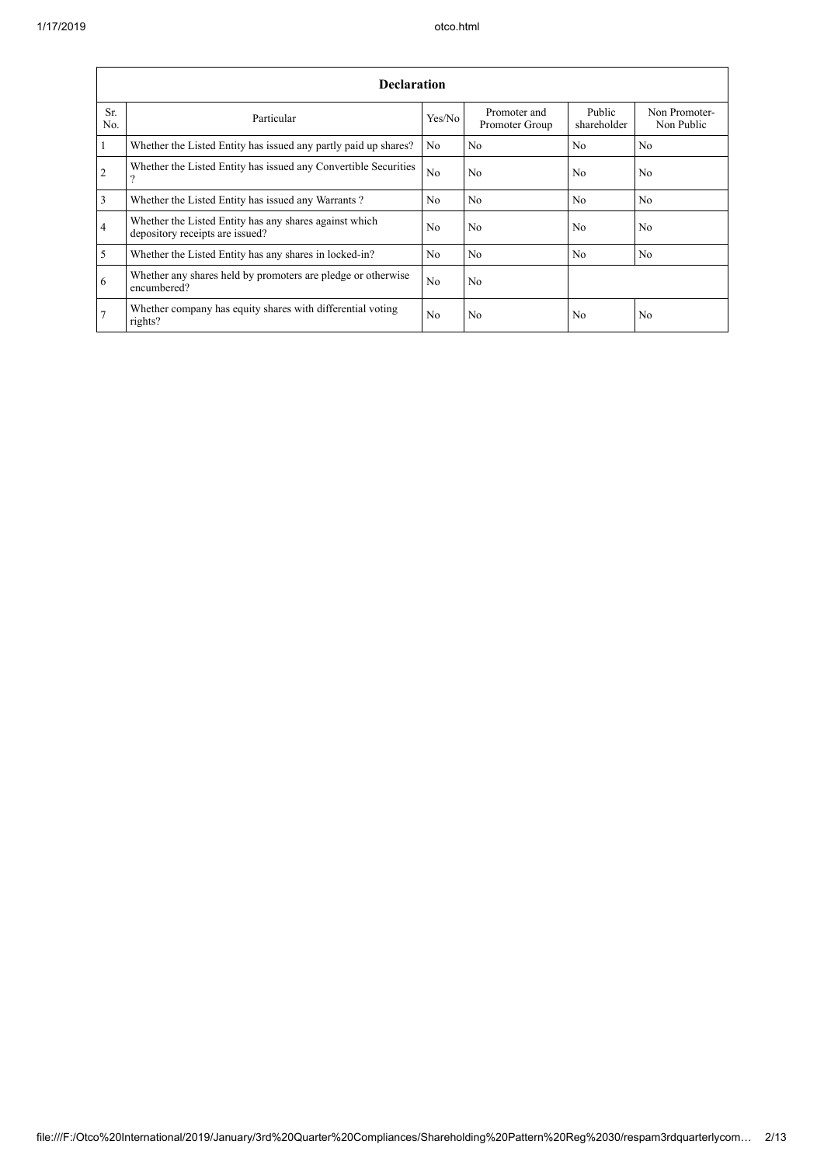$\mathbf{r}$ 

|                | <b>Declaration</b>                                                                        |                |                                |                       |                             |  |  |  |
|----------------|-------------------------------------------------------------------------------------------|----------------|--------------------------------|-----------------------|-----------------------------|--|--|--|
| Sr.<br>No.     | Particular                                                                                | Yes/No         | Promoter and<br>Promoter Group | Public<br>shareholder | Non Promoter-<br>Non Public |  |  |  |
| -1             | Whether the Listed Entity has issued any partly paid up shares?                           | N <sub>0</sub> | No                             | N <sub>0</sub>        | N <sub>o</sub>              |  |  |  |
| 2              | Whether the Listed Entity has issued any Convertible Securities<br>?                      | N <sub>o</sub> | No                             | N <sub>0</sub>        | N <sub>o</sub>              |  |  |  |
| $\overline{3}$ | Whether the Listed Entity has issued any Warrants?                                        | N <sub>0</sub> | N <sub>0</sub>                 | No                    | No                          |  |  |  |
| $\overline{4}$ | Whether the Listed Entity has any shares against which<br>depository receipts are issued? | N <sub>0</sub> | No                             | N <sub>0</sub>        | No                          |  |  |  |
| $\overline{5}$ | Whether the Listed Entity has any shares in locked-in?                                    | N <sub>o</sub> | No                             | N <sub>0</sub>        | N <sub>o</sub>              |  |  |  |
| 6              | Whether any shares held by promoters are pledge or otherwise<br>encumbered?               | N <sub>o</sub> | No                             |                       |                             |  |  |  |
| 7              | Whether company has equity shares with differential voting<br>rights?                     | N <sub>o</sub> | No                             | N <sub>0</sub>        | No                          |  |  |  |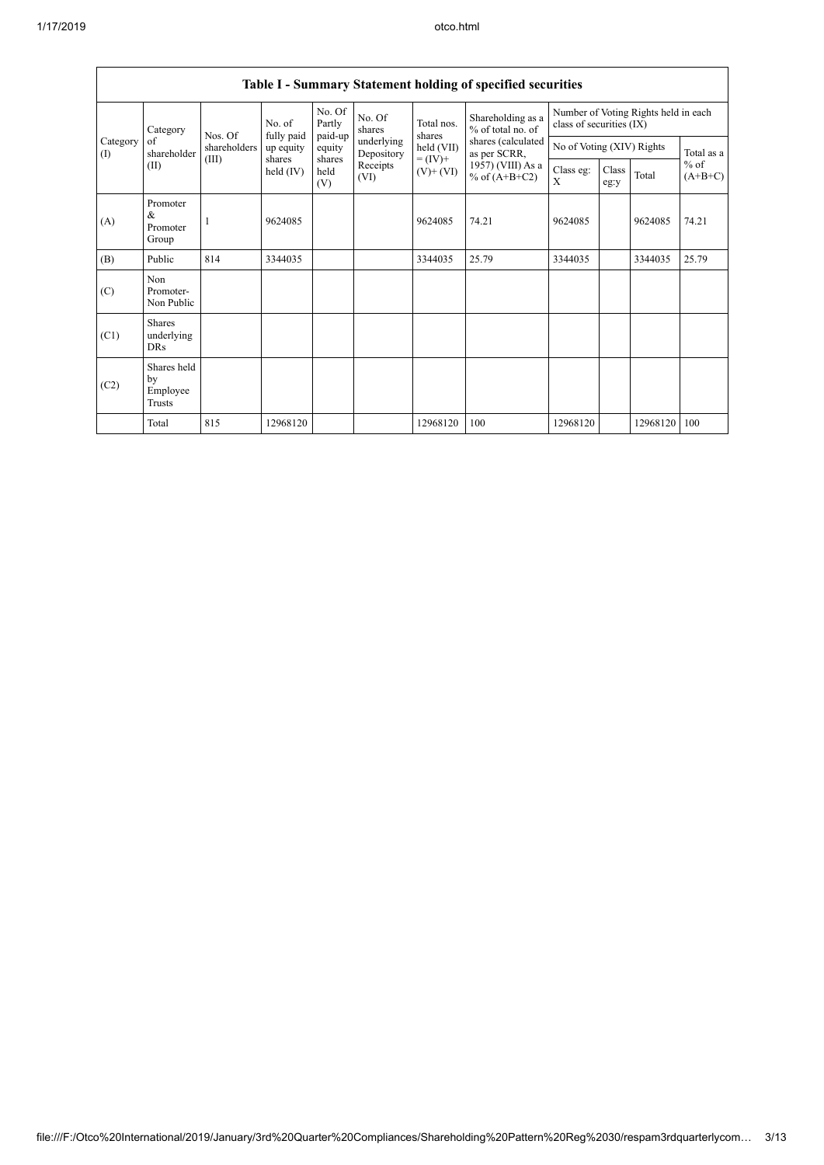|                                             | Table I - Summary Statement holding of specified securities |              |                       |                       |                          |                                                                |                                                                                                                      |                                                                  |               |          |                     |
|---------------------------------------------|-------------------------------------------------------------|--------------|-----------------------|-----------------------|--------------------------|----------------------------------------------------------------|----------------------------------------------------------------------------------------------------------------------|------------------------------------------------------------------|---------------|----------|---------------------|
|                                             | Category                                                    | Nos. Of      | No. of<br>fully paid  | No. Of<br>Partly      | No. Of<br>shares         | Total nos.<br>shares<br>held (VII)<br>$= (IV) +$<br>$(V)+(VI)$ | Shareholding as a<br>% of total no. of<br>shares (calculated<br>as per SCRR,<br>1957) (VIII) As a<br>% of $(A+B+C2)$ | Number of Voting Rights held in each<br>class of securities (IX) |               |          |                     |
| Category<br>of<br>$\textcircled{1}$<br>(II) | shareholder                                                 | shareholders | up equity             | paid-up<br>equity     | underlying<br>Depository |                                                                |                                                                                                                      | No of Voting (XIV) Rights                                        |               |          | Total as a          |
|                                             |                                                             | (III)        | shares<br>held $(IV)$ | shares<br>held<br>(V) | Receipts<br>(VI)         |                                                                |                                                                                                                      | Class eg:<br>X                                                   | Class<br>eg:y | Total    | $%$ of<br>$(A+B+C)$ |
| (A)                                         | Promoter<br>&<br>Promoter<br>Group                          |              | 9624085               |                       |                          | 9624085                                                        | 74.21                                                                                                                | 9624085                                                          |               | 9624085  | 74.21               |
| (B)                                         | Public                                                      | 814          | 3344035               |                       |                          | 3344035                                                        | 25.79                                                                                                                | 3344035                                                          |               | 3344035  | 25.79               |
| (C)                                         | Non<br>Promoter-<br>Non Public                              |              |                       |                       |                          |                                                                |                                                                                                                      |                                                                  |               |          |                     |
| (C1)                                        | <b>Shares</b><br>underlying<br><b>DRs</b>                   |              |                       |                       |                          |                                                                |                                                                                                                      |                                                                  |               |          |                     |
| (C2)                                        | Shares held<br>by<br>Employee<br>Trusts                     |              |                       |                       |                          |                                                                |                                                                                                                      |                                                                  |               |          |                     |
|                                             | Total                                                       | 815          | 12968120              |                       |                          | 12968120                                                       | 100                                                                                                                  | 12968120                                                         |               | 12968120 | 100                 |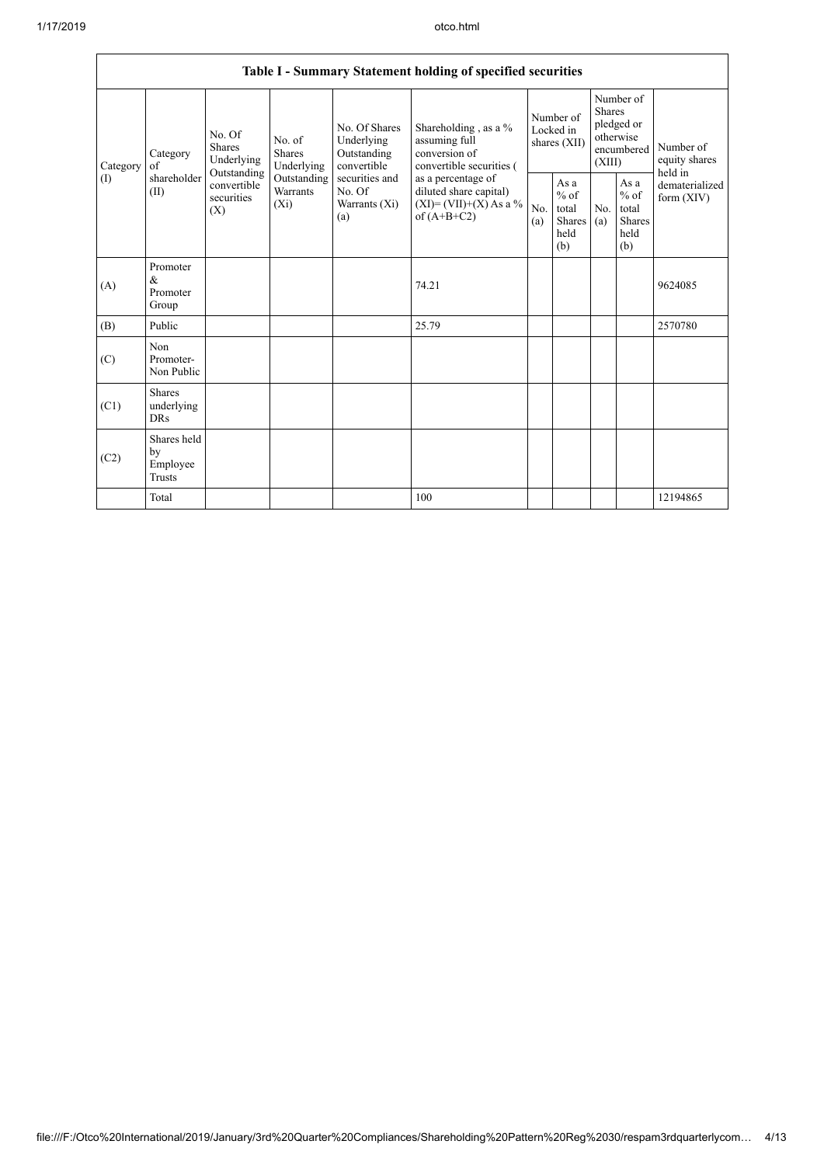|          | Table I - Summary Statement holding of specified securities |                                                 |                                    |                                                           |                                                                                                                                                                                  |                                        |                                                  |                                                                               |                                                         |                                       |
|----------|-------------------------------------------------------------|-------------------------------------------------|------------------------------------|-----------------------------------------------------------|----------------------------------------------------------------------------------------------------------------------------------------------------------------------------------|----------------------------------------|--------------------------------------------------|-------------------------------------------------------------------------------|---------------------------------------------------------|---------------------------------------|
| Category | Category<br>of                                              | No. Of<br><b>Shares</b><br>Underlying           | No. of<br>Shares<br>Underlying     | No. Of Shares<br>Underlying<br>Outstanding<br>convertible | Shareholding, as a %<br>assuming full<br>conversion of<br>convertible securities (<br>as a percentage of<br>diluted share capital)<br>$(XI) = (VII)+(X) As a %$<br>of $(A+B+C2)$ | Number of<br>Locked in<br>shares (XII) |                                                  | Number of<br><b>Shares</b><br>pledged or<br>otherwise<br>encumbered<br>(XIII) |                                                         | Number of<br>equity shares<br>held in |
| (1)      | shareholder<br>(II)                                         | Outstanding<br>convertible<br>securities<br>(X) | Outstanding<br>Warrants<br>$(X_i)$ | securities and<br>No. Of<br>Warrants (Xi)<br>(a)          |                                                                                                                                                                                  | No.<br>(a)                             | As a<br>$%$ of<br>total<br>Shares<br>held<br>(b) | No.<br>(a)                                                                    | As a<br>$%$ of<br>total<br><b>Shares</b><br>held<br>(b) | dematerialized<br>form $(XIV)$        |
| (A)      | Promoter<br>$\&$<br>Promoter<br>Group                       |                                                 |                                    |                                                           | 74.21                                                                                                                                                                            |                                        |                                                  |                                                                               |                                                         | 9624085                               |
| (B)      | Public                                                      |                                                 |                                    |                                                           | 25.79                                                                                                                                                                            |                                        |                                                  |                                                                               |                                                         | 2570780                               |
| (C)      | Non<br>Promoter-<br>Non Public                              |                                                 |                                    |                                                           |                                                                                                                                                                                  |                                        |                                                  |                                                                               |                                                         |                                       |
| (C1)     | <b>Shares</b><br>underlying<br><b>DRs</b>                   |                                                 |                                    |                                                           |                                                                                                                                                                                  |                                        |                                                  |                                                                               |                                                         |                                       |
| (C2)     | Shares held<br>by<br>Employee<br><b>Trusts</b>              |                                                 |                                    |                                                           |                                                                                                                                                                                  |                                        |                                                  |                                                                               |                                                         |                                       |
|          | Total                                                       |                                                 |                                    |                                                           | 100                                                                                                                                                                              |                                        |                                                  |                                                                               |                                                         | 12194865                              |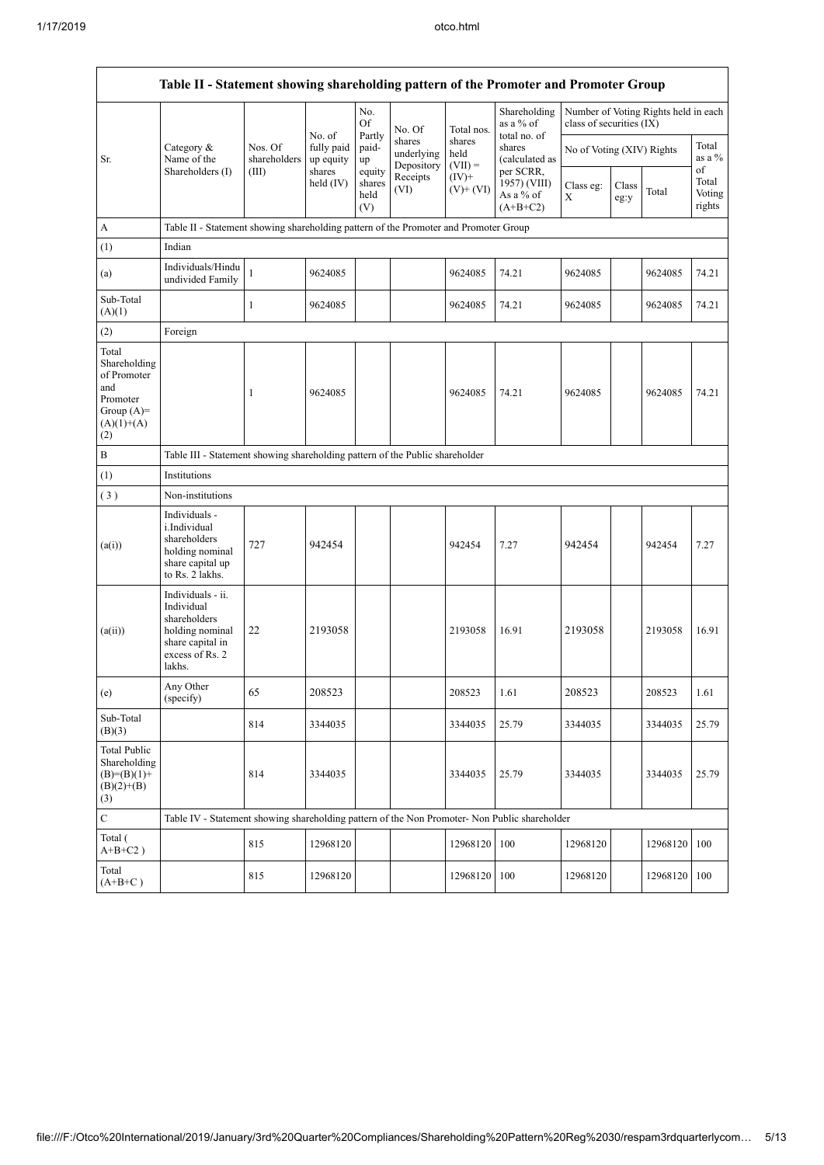$\mathsf{r}$ 

|                                                                                                | Table II - Statement showing shareholding pattern of the Promoter and Promoter Group                                |                                                                                      |                         |                                 |                                    |                             |                                                      |                           |               |                                      |                                 |
|------------------------------------------------------------------------------------------------|---------------------------------------------------------------------------------------------------------------------|--------------------------------------------------------------------------------------|-------------------------|---------------------------------|------------------------------------|-----------------------------|------------------------------------------------------|---------------------------|---------------|--------------------------------------|---------------------------------|
|                                                                                                |                                                                                                                     |                                                                                      | No. of                  | No.<br>Of                       | No. Of                             | Total nos.                  | Shareholding<br>as a % of                            | class of securities (IX)  |               | Number of Voting Rights held in each |                                 |
| Sr.                                                                                            | Category &<br>Name of the                                                                                           | Nos. Of<br>shareholders                                                              | fully paid<br>up equity | Partly<br>paid-<br>up           | shares<br>underlying<br>Depository | shares<br>held<br>$(VII) =$ | total no. of<br>shares<br>(calculated as             | No of Voting (XIV) Rights |               |                                      | Total<br>as a %                 |
|                                                                                                | Shareholders (I)                                                                                                    | (III)                                                                                | shares<br>held (IV)     | equity<br>shares<br>held<br>(V) | Receipts<br>(VI)                   | $(IV)$ +<br>$(V)+(VI)$      | per SCRR,<br>1957) (VIII)<br>As a % of<br>$(A+B+C2)$ | Class eg:<br>X            | Class<br>eg:y | Total                                | of<br>Total<br>Voting<br>rights |
| A                                                                                              |                                                                                                                     | Table II - Statement showing shareholding pattern of the Promoter and Promoter Group |                         |                                 |                                    |                             |                                                      |                           |               |                                      |                                 |
| (1)                                                                                            | Indian                                                                                                              |                                                                                      |                         |                                 |                                    |                             |                                                      |                           |               |                                      |                                 |
| (a)                                                                                            | Individuals/Hindu<br>undivided Family                                                                               | $\mathbf{1}$                                                                         | 9624085                 |                                 |                                    | 9624085                     | 74.21                                                | 9624085                   |               | 9624085                              | 74.21                           |
| Sub-Total<br>(A)(1)                                                                            |                                                                                                                     | $\mathbf{1}$                                                                         | 9624085                 |                                 |                                    | 9624085                     | 74.21                                                | 9624085                   |               | 9624085                              | 74.21                           |
| (2)                                                                                            | Foreign                                                                                                             |                                                                                      |                         |                                 |                                    |                             |                                                      |                           |               |                                      |                                 |
| Total<br>Shareholding<br>of Promoter<br>and<br>Promoter<br>Group $(A)=$<br>$(A)(1)+(A)$<br>(2) |                                                                                                                     | 1                                                                                    | 9624085                 |                                 |                                    | 9624085                     | 74.21                                                | 9624085                   |               | 9624085                              | 74.21                           |
| B                                                                                              | Table III - Statement showing shareholding pattern of the Public shareholder                                        |                                                                                      |                         |                                 |                                    |                             |                                                      |                           |               |                                      |                                 |
| (1)                                                                                            | Institutions                                                                                                        |                                                                                      |                         |                                 |                                    |                             |                                                      |                           |               |                                      |                                 |
| (3)                                                                                            | Non-institutions                                                                                                    |                                                                                      |                         |                                 |                                    |                             |                                                      |                           |               |                                      |                                 |
| (a(i))                                                                                         | Individuals -<br>i.Individual<br>shareholders<br>holding nominal<br>share capital up<br>to Rs. 2 lakhs.             | 727                                                                                  | 942454                  |                                 |                                    | 942454                      | 7.27                                                 | 942454                    |               | 942454                               | 7.27                            |
| (a(ii))                                                                                        | Individuals - ii.<br>Individual<br>shareholders<br>holding nominal<br>share capital in<br>excess of Rs. 2<br>lakhs. | 22                                                                                   | 2193058                 |                                 |                                    | 2193058                     | 16.91                                                | 2193058                   |               | 2193058                              | 16.91                           |
| (e)                                                                                            | Any Other<br>(specify)                                                                                              | 65                                                                                   | 208523                  |                                 |                                    | 208523                      | 1.61                                                 | 208523                    |               | 208523                               | 1.61                            |
| Sub-Total<br>(B)(3)                                                                            |                                                                                                                     | 814                                                                                  | 3344035                 |                                 |                                    | 3344035                     | 25.79                                                | 3344035                   |               | 3344035                              | 25.79                           |
| <b>Total Public</b><br>Shareholding<br>$(B)=(B)(1)+$<br>$(B)(2)+(B)$<br>(3)                    |                                                                                                                     | 814                                                                                  | 3344035                 |                                 |                                    | 3344035                     | 25.79                                                | 3344035                   |               | 3344035                              | 25.79                           |
| $\mathbf C$                                                                                    | Table IV - Statement showing shareholding pattern of the Non Promoter- Non Public shareholder                       |                                                                                      |                         |                                 |                                    |                             |                                                      |                           |               |                                      |                                 |
| Total (<br>$A+B+C2$ )                                                                          |                                                                                                                     | 815                                                                                  | 12968120                |                                 |                                    | 12968120                    | 100                                                  | 12968120                  |               | 12968120                             | 100                             |
| Total<br>$(A+B+C)$                                                                             |                                                                                                                     | 815                                                                                  | 12968120                |                                 |                                    | 12968120                    | 100                                                  | 12968120                  |               | 12968120                             | 100                             |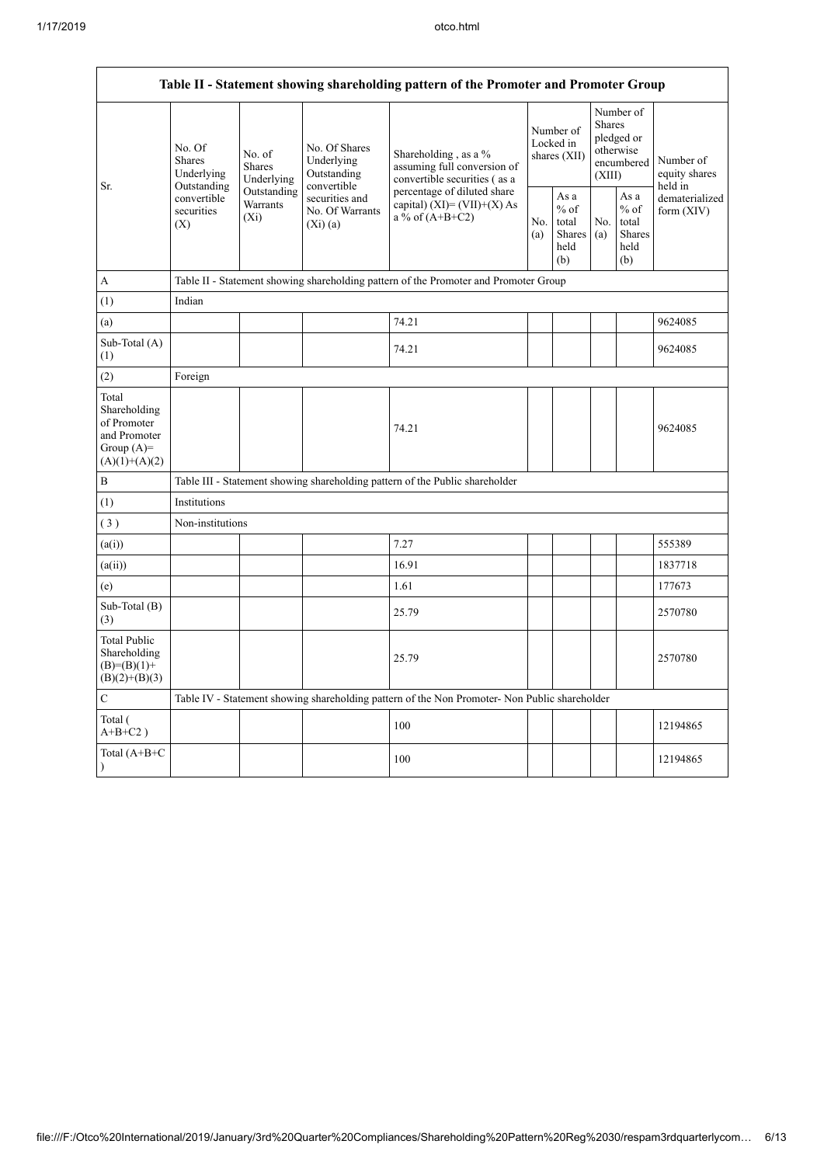| Table II - Statement showing shareholding pattern of the Promoter and Promoter Group    |                                                                                                                                            |             |                                                           |                                                                                                                                                                           |  |                                                  |            |                                                                        |                                       |
|-----------------------------------------------------------------------------------------|--------------------------------------------------------------------------------------------------------------------------------------------|-------------|-----------------------------------------------------------|---------------------------------------------------------------------------------------------------------------------------------------------------------------------------|--|--------------------------------------------------|------------|------------------------------------------------------------------------|---------------------------------------|
| Sr.                                                                                     | No. Of<br>No. of<br><b>Shares</b><br><b>Shares</b><br>Underlying<br>Outstanding<br>convertible<br>Warrants<br>securities<br>$(X_i)$<br>(X) | Underlying  | No. Of Shares<br>Underlying<br>Outstanding<br>convertible | Shareholding, as a %<br>assuming full conversion of<br>convertible securities (as a<br>percentage of diluted share<br>capital) $(XI) = (VII)+(X) As$<br>a % of $(A+B+C2)$ |  | Number of<br>Locked in<br>shares $(XII)$         |            | Number of<br>Shares<br>pledged or<br>otherwise<br>encumbered<br>(XIII) | Number of<br>equity shares<br>held in |
|                                                                                         |                                                                                                                                            | Outstanding | securities and<br>No. Of Warrants<br>(Xi)(a)              |                                                                                                                                                                           |  | As a<br>$%$ of<br>total<br>Shares<br>held<br>(b) | No.<br>(a) | As a<br>$%$ of<br>total<br><b>Shares</b><br>held<br>(b)                | dematerialized<br>form $(XIV)$        |
| A                                                                                       |                                                                                                                                            |             |                                                           | Table II - Statement showing shareholding pattern of the Promoter and Promoter Group                                                                                      |  |                                                  |            |                                                                        |                                       |
| (1)                                                                                     | Indian                                                                                                                                     |             |                                                           |                                                                                                                                                                           |  |                                                  |            |                                                                        |                                       |
| (a)                                                                                     |                                                                                                                                            |             |                                                           | 74.21                                                                                                                                                                     |  |                                                  |            |                                                                        | 9624085                               |
| Sub-Total (A)<br>(1)                                                                    |                                                                                                                                            |             |                                                           | 74.21                                                                                                                                                                     |  |                                                  |            |                                                                        | 9624085                               |
| (2)                                                                                     | Foreign                                                                                                                                    |             |                                                           |                                                                                                                                                                           |  |                                                  |            |                                                                        |                                       |
| Total<br>Shareholding<br>of Promoter<br>and Promoter<br>Group $(A)=$<br>$(A)(1)+(A)(2)$ |                                                                                                                                            |             |                                                           | 74.21                                                                                                                                                                     |  |                                                  |            |                                                                        | 9624085                               |
| $\, {\bf B}$                                                                            |                                                                                                                                            |             |                                                           | Table III - Statement showing shareholding pattern of the Public shareholder                                                                                              |  |                                                  |            |                                                                        |                                       |
| (1)                                                                                     | Institutions                                                                                                                               |             |                                                           |                                                                                                                                                                           |  |                                                  |            |                                                                        |                                       |
| (3)                                                                                     | Non-institutions                                                                                                                           |             |                                                           |                                                                                                                                                                           |  |                                                  |            |                                                                        |                                       |
| (a(i))                                                                                  |                                                                                                                                            |             |                                                           | 7.27                                                                                                                                                                      |  |                                                  |            |                                                                        | 555389                                |
| (a(ii))                                                                                 |                                                                                                                                            |             |                                                           | 16.91                                                                                                                                                                     |  |                                                  |            |                                                                        | 1837718                               |
| (e)                                                                                     |                                                                                                                                            |             |                                                           | 1.61                                                                                                                                                                      |  |                                                  |            |                                                                        | 177673                                |
| Sub-Total (B)<br>(3)                                                                    |                                                                                                                                            |             |                                                           | 25.79                                                                                                                                                                     |  |                                                  |            |                                                                        | 2570780                               |
| <b>Total Public</b><br>Shareholding<br>$(B)= (B)(1) +$<br>$(B)(2)+(B)(3)$               |                                                                                                                                            |             |                                                           | 25.79                                                                                                                                                                     |  |                                                  |            |                                                                        | 2570780                               |
| $\mathbf C$                                                                             |                                                                                                                                            |             |                                                           | Table IV - Statement showing shareholding pattern of the Non Promoter- Non Public shareholder                                                                             |  |                                                  |            |                                                                        |                                       |
| Total (<br>$A+B+C2$ )                                                                   |                                                                                                                                            |             |                                                           | 100                                                                                                                                                                       |  |                                                  |            |                                                                        | 12194865                              |
| Total (A+B+C<br>$\mathcal{E}$                                                           |                                                                                                                                            |             |                                                           | 100                                                                                                                                                                       |  |                                                  |            |                                                                        | 12194865                              |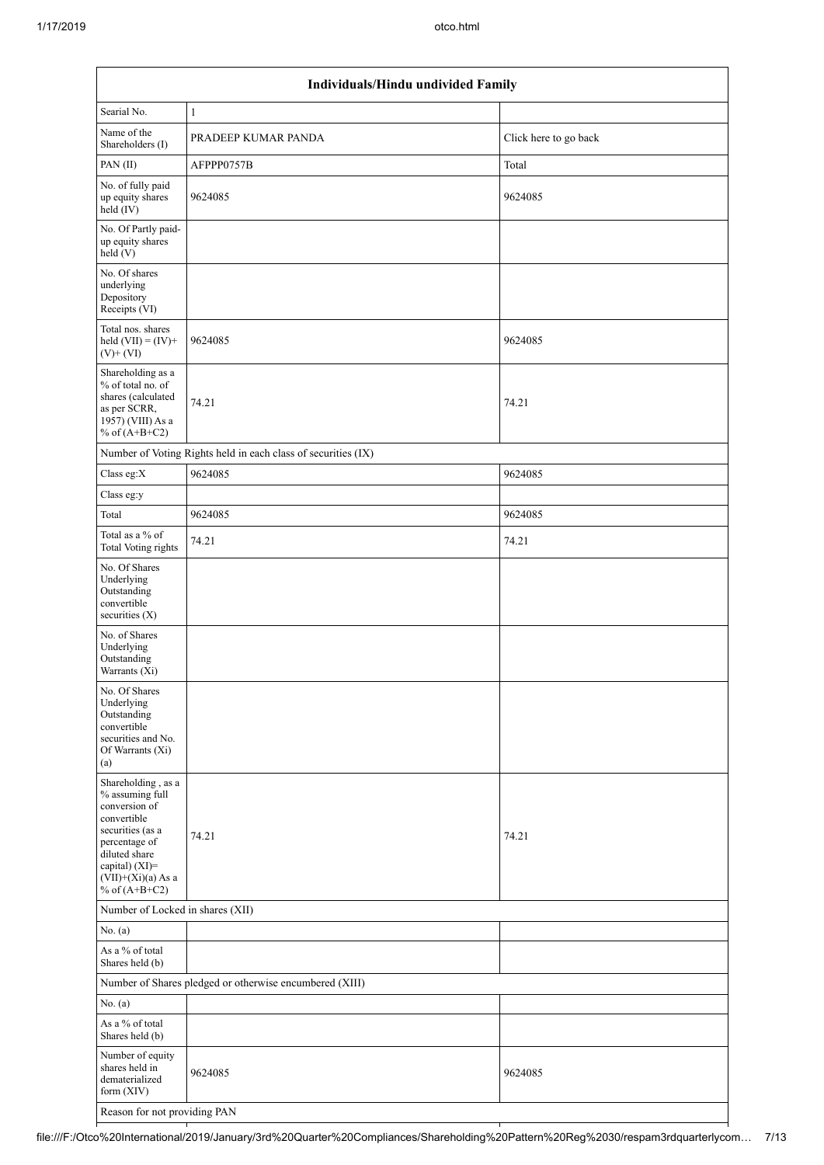|                                                                                                                                                                                          | Individuals/Hindu undivided Family                            |                       |  |  |  |  |  |  |
|------------------------------------------------------------------------------------------------------------------------------------------------------------------------------------------|---------------------------------------------------------------|-----------------------|--|--|--|--|--|--|
| Searial No.                                                                                                                                                                              | $\mathbf{1}$                                                  |                       |  |  |  |  |  |  |
| Name of the<br>Shareholders (I)                                                                                                                                                          | PRADEEP KUMAR PANDA                                           | Click here to go back |  |  |  |  |  |  |
| PAN(II)                                                                                                                                                                                  | AFPPP0757B                                                    | Total                 |  |  |  |  |  |  |
| No. of fully paid<br>up equity shares<br>held (IV)                                                                                                                                       | 9624085                                                       | 9624085               |  |  |  |  |  |  |
| No. Of Partly paid-<br>up equity shares<br>held(V)                                                                                                                                       |                                                               |                       |  |  |  |  |  |  |
| No. Of shares<br>underlying<br>Depository<br>Receipts (VI)                                                                                                                               |                                                               |                       |  |  |  |  |  |  |
| Total nos. shares<br>held $(VII) = (IV) +$<br>$(V)$ + $(VI)$                                                                                                                             | 9624085                                                       | 9624085               |  |  |  |  |  |  |
| Shareholding as a<br>% of total no. of<br>shares (calculated<br>as per SCRR,<br>1957) (VIII) As a<br>% of $(A+B+C2)$                                                                     | 74.21                                                         | 74.21                 |  |  |  |  |  |  |
|                                                                                                                                                                                          | Number of Voting Rights held in each class of securities (IX) |                       |  |  |  |  |  |  |
| Class eg:X                                                                                                                                                                               | 9624085                                                       | 9624085               |  |  |  |  |  |  |
| Class eg:y                                                                                                                                                                               |                                                               |                       |  |  |  |  |  |  |
| Total                                                                                                                                                                                    | 9624085                                                       | 9624085               |  |  |  |  |  |  |
| Total as a % of<br><b>Total Voting rights</b>                                                                                                                                            | 74.21                                                         | 74.21                 |  |  |  |  |  |  |
| No. Of Shares<br>Underlying<br>Outstanding<br>convertible<br>securities (X)                                                                                                              |                                                               |                       |  |  |  |  |  |  |
| No. of Shares<br>Underlying<br>Outstanding<br>Warrants (Xi)                                                                                                                              |                                                               |                       |  |  |  |  |  |  |
| No. Of Shares<br>Underlying<br>Outstanding<br>convertible<br>securities and No.<br>Of Warrants (Xi)<br>(a)                                                                               |                                                               |                       |  |  |  |  |  |  |
| Shareholding, as a<br>% assuming full<br>conversion of<br>convertible<br>securities (as a<br>percentage of<br>diluted share<br>capital) (XI)=<br>$(VII)+(Xi)(a)$ As a<br>% of $(A+B+C2)$ | 74.21                                                         | 74.21                 |  |  |  |  |  |  |
|                                                                                                                                                                                          | Number of Locked in shares (XII)                              |                       |  |  |  |  |  |  |
| No. $(a)$                                                                                                                                                                                |                                                               |                       |  |  |  |  |  |  |
| As a % of total<br>Shares held (b)                                                                                                                                                       |                                                               |                       |  |  |  |  |  |  |
|                                                                                                                                                                                          | Number of Shares pledged or otherwise encumbered (XIII)       |                       |  |  |  |  |  |  |
| No. (a)<br>As a % of total<br>Shares held (b)                                                                                                                                            |                                                               |                       |  |  |  |  |  |  |
| Number of equity<br>shares held in<br>dematerialized<br>form (XIV)                                                                                                                       | 9624085                                                       | 9624085               |  |  |  |  |  |  |
| Reason for not providing PAN                                                                                                                                                             |                                                               |                       |  |  |  |  |  |  |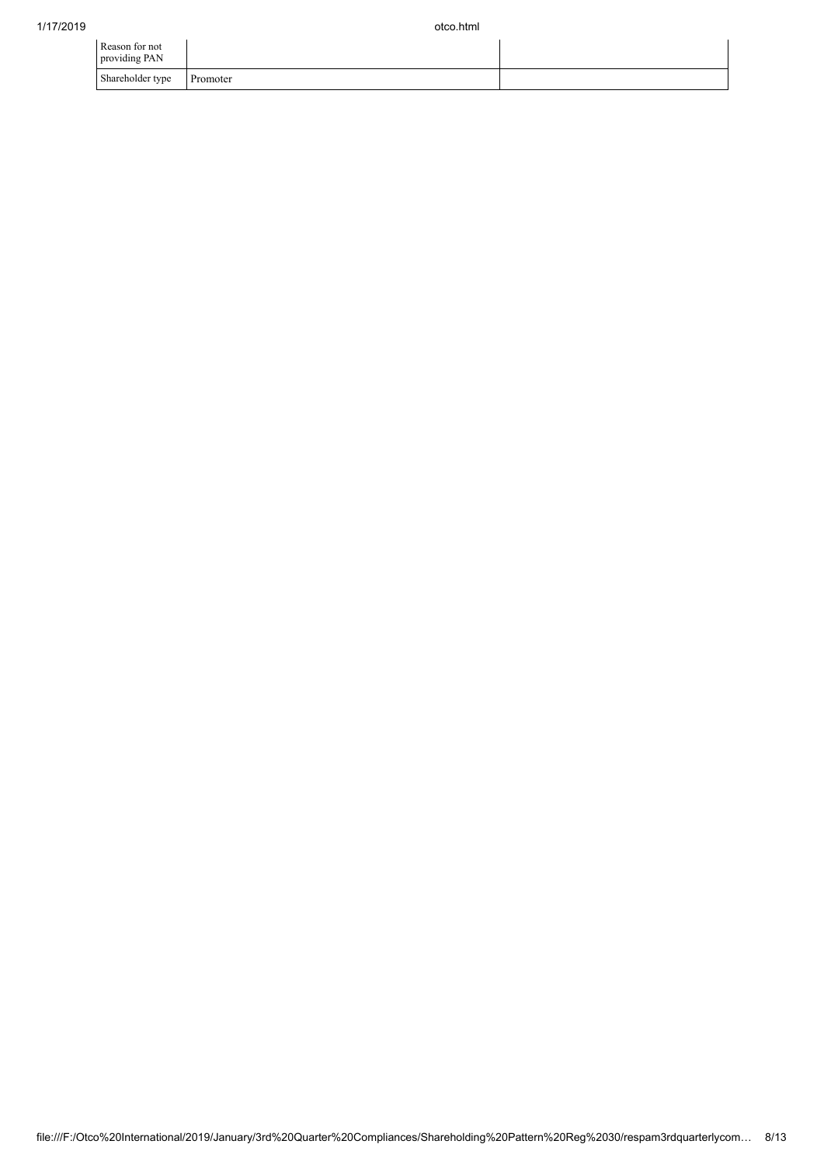| Reason for not<br>providing PAN |          |  |
|---------------------------------|----------|--|
| Shareholder type                | Promoter |  |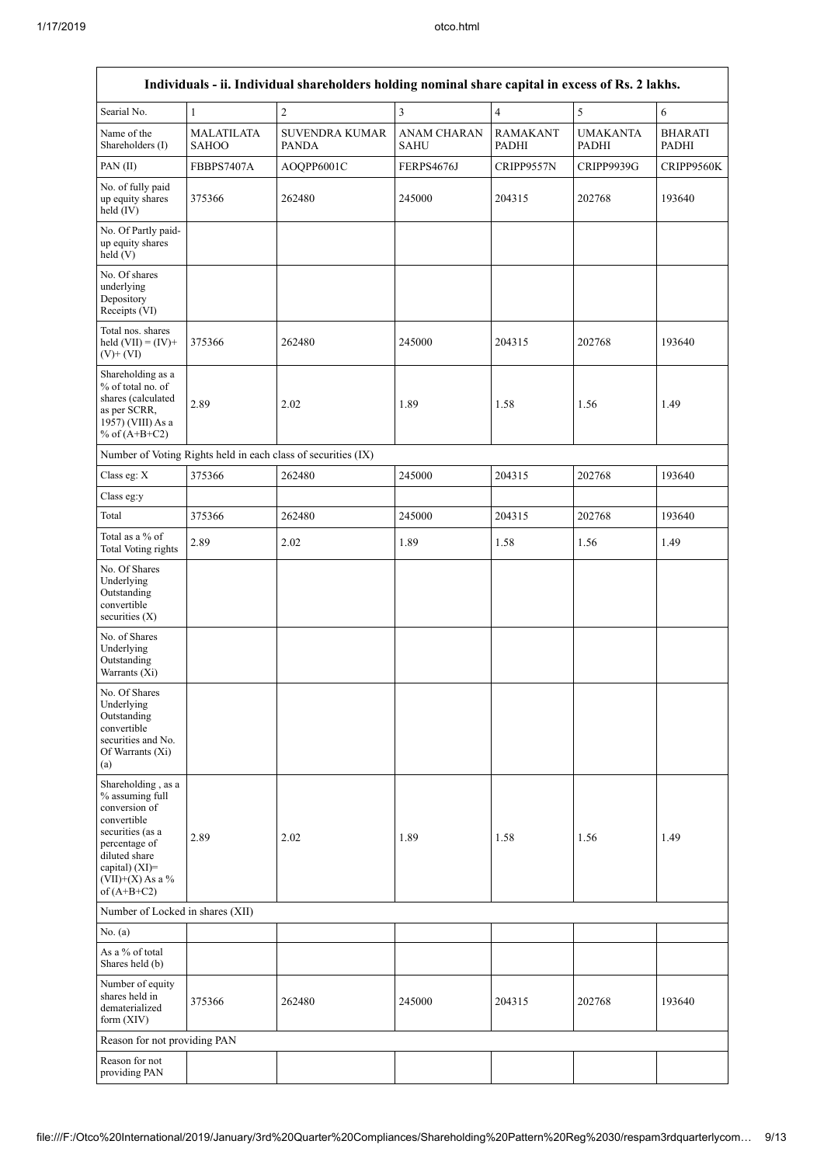$\mathbf{r}$ 

| Individuals - ii. Individual shareholders holding nominal share capital in excess of Rs. 2 lakhs.                                                                                    |                                   |                                                               |                                   |                          |                                 |                                |  |  |
|--------------------------------------------------------------------------------------------------------------------------------------------------------------------------------------|-----------------------------------|---------------------------------------------------------------|-----------------------------------|--------------------------|---------------------------------|--------------------------------|--|--|
| Searial No.                                                                                                                                                                          | $\mathbf{1}$                      | $\overline{c}$                                                | 3                                 | 4                        | 5                               | 6                              |  |  |
| Name of the<br>Shareholders (I)                                                                                                                                                      | <b>MALATILATA</b><br><b>SAHOO</b> | <b>SUVENDRA KUMAR</b><br><b>PANDA</b>                         | <b>ANAM CHARAN</b><br><b>SAHU</b> | <b>RAMAKANT</b><br>PADHI | <b>UMAKANTA</b><br><b>PADHI</b> | <b>BHARATI</b><br><b>PADHI</b> |  |  |
| PAN(II)                                                                                                                                                                              | <b>FBBPS7407A</b>                 | AOQPP6001C                                                    | FERPS4676J                        | CRIPP9557N               | CRIPP9939G                      | CRIPP9560K                     |  |  |
| No. of fully paid<br>up equity shares<br>held (IV)                                                                                                                                   | 375366                            | 262480                                                        | 245000                            | 204315                   | 202768                          | 193640                         |  |  |
| No. Of Partly paid-<br>up equity shares<br>$\text{held}(V)$                                                                                                                          |                                   |                                                               |                                   |                          |                                 |                                |  |  |
| No. Of shares<br>underlying<br>Depository<br>Receipts (VI)                                                                                                                           |                                   |                                                               |                                   |                          |                                 |                                |  |  |
| Total nos. shares<br>held $(VII) = (IV) +$<br>$(V)+(VI)$                                                                                                                             | 375366                            | 262480                                                        | 245000                            | 204315                   | 202768                          | 193640                         |  |  |
| Shareholding as a<br>% of total no. of<br>shares (calculated<br>as per SCRR,<br>1957) (VIII) As a<br>% of $(A+B+C2)$                                                                 | 2.89                              | 2.02                                                          | 1.89                              | 1.58                     | 1.56                            | 1.49                           |  |  |
|                                                                                                                                                                                      |                                   | Number of Voting Rights held in each class of securities (IX) |                                   |                          |                                 |                                |  |  |
| Class eg: $\mathbf X$                                                                                                                                                                | 375366                            | 262480                                                        | 245000                            | 204315                   | 202768                          | 193640                         |  |  |
| Class eg:y                                                                                                                                                                           |                                   |                                                               |                                   |                          |                                 |                                |  |  |
| Total                                                                                                                                                                                | 375366                            | 262480                                                        | 245000                            | 204315                   | 202768                          | 193640                         |  |  |
| Total as a % of<br><b>Total Voting rights</b>                                                                                                                                        | 2.89                              | 2.02                                                          | 1.89                              | 1.58                     | 1.56                            | 1.49                           |  |  |
| No. Of Shares<br>Underlying<br>Outstanding<br>convertible<br>securities $(X)$                                                                                                        |                                   |                                                               |                                   |                          |                                 |                                |  |  |
| No. of Shares<br>Underlying<br>Outstanding<br>Warrants (Xi)                                                                                                                          |                                   |                                                               |                                   |                          |                                 |                                |  |  |
| No. Of Shares<br>Underlying<br>Outstanding<br>convertible<br>securities and No.<br>Of Warrants (Xi)<br>(a)                                                                           |                                   |                                                               |                                   |                          |                                 |                                |  |  |
| Shareholding, as a<br>% assuming full<br>conversion of<br>convertible<br>securities (as a<br>percentage of<br>diluted share<br>capital) (XI)=<br>$(VII)+(X)$ As a %<br>of $(A+B+C2)$ | 2.89                              | 2.02                                                          | 1.89                              | 1.58                     | 1.56                            | 1.49                           |  |  |
| Number of Locked in shares (XII)                                                                                                                                                     |                                   |                                                               |                                   |                          |                                 |                                |  |  |
| No. (a)                                                                                                                                                                              |                                   |                                                               |                                   |                          |                                 |                                |  |  |
| As a % of total<br>Shares held (b)                                                                                                                                                   |                                   |                                                               |                                   |                          |                                 |                                |  |  |
| Number of equity<br>shares held in<br>dematerialized<br>form $(XIV)$                                                                                                                 | 375366                            | 262480                                                        | 245000                            | 204315                   | 202768                          | 193640                         |  |  |
| Reason for not providing PAN                                                                                                                                                         |                                   |                                                               |                                   |                          |                                 |                                |  |  |
| Reason for not<br>providing PAN                                                                                                                                                      |                                   |                                                               |                                   |                          |                                 |                                |  |  |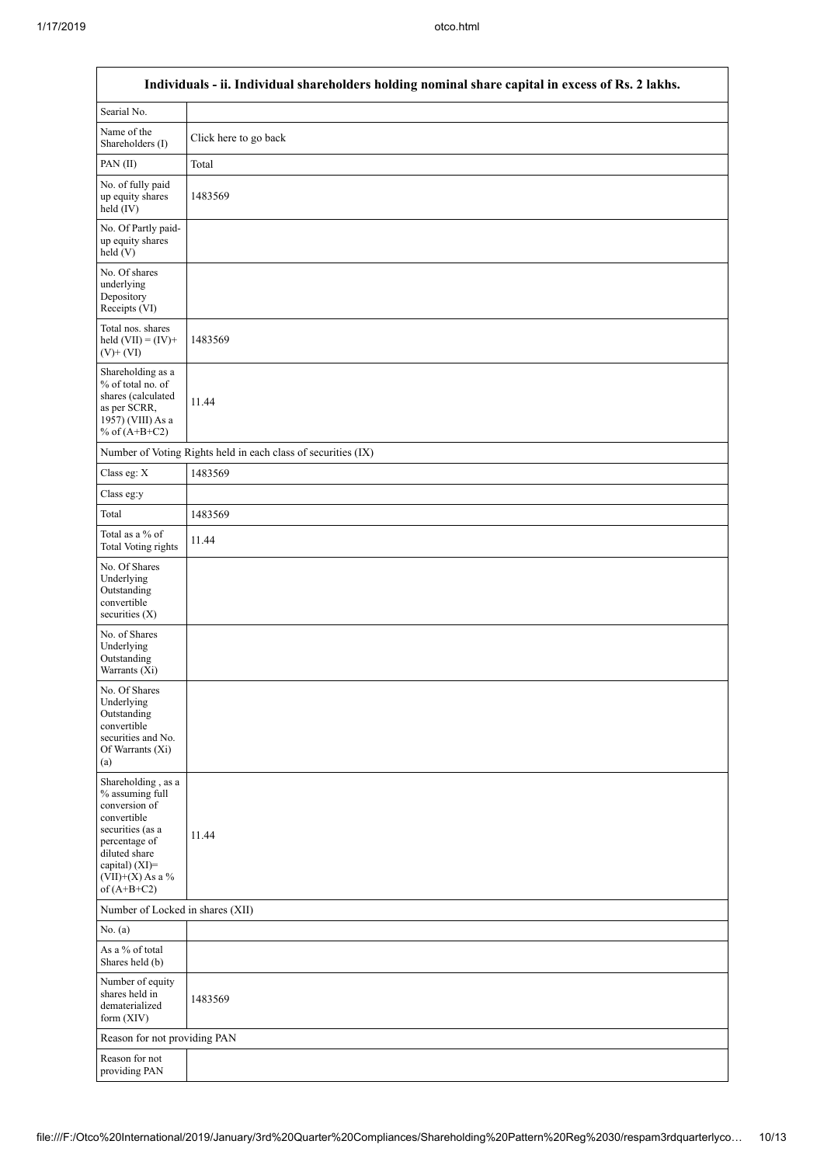|                                                                                                                                                                                      | Individuals - ii. Individual shareholders holding nominal share capital in excess of Rs. 2 lakhs. |
|--------------------------------------------------------------------------------------------------------------------------------------------------------------------------------------|---------------------------------------------------------------------------------------------------|
| Searial No.                                                                                                                                                                          |                                                                                                   |
| Name of the<br>Shareholders (I)                                                                                                                                                      | Click here to go back                                                                             |
| PAN(II)                                                                                                                                                                              | Total                                                                                             |
| No. of fully paid<br>up equity shares<br>held $(IV)$                                                                                                                                 | 1483569                                                                                           |
| No. Of Partly paid-<br>up equity shares<br>held (V)                                                                                                                                  |                                                                                                   |
| No. Of shares<br>underlying<br>Depository<br>Receipts (VI)                                                                                                                           |                                                                                                   |
| Total nos. shares<br>held $(VII) = (IV) +$<br>$(V)+(VI)$                                                                                                                             | 1483569                                                                                           |
| Shareholding as a<br>% of total no. of<br>shares (calculated<br>as per SCRR,<br>1957) (VIII) As a<br>% of $(A+B+C2)$                                                                 | 11.44                                                                                             |
|                                                                                                                                                                                      | Number of Voting Rights held in each class of securities (IX)                                     |
| Class eg: $\mathbf X$                                                                                                                                                                | 1483569                                                                                           |
| Class eg:y                                                                                                                                                                           |                                                                                                   |
| Total                                                                                                                                                                                | 1483569                                                                                           |
| Total as a % of<br><b>Total Voting rights</b>                                                                                                                                        | 11.44                                                                                             |
| No. Of Shares<br>Underlying<br>Outstanding<br>convertible<br>securities $(X)$                                                                                                        |                                                                                                   |
| No. of Shares<br>Underlying<br>Outstanding<br>Warrants (Xi)                                                                                                                          |                                                                                                   |
| No. Of Shares<br>Underlying<br>Outstanding<br>convertible<br>securities and No.<br>Of Warrants (Xi)<br>(a)                                                                           |                                                                                                   |
| Shareholding, as a<br>% assuming full<br>conversion of<br>convertible<br>securities (as a<br>percentage of<br>diluted share<br>capital) (XI)=<br>$(VII)+(X)$ As a %<br>of $(A+B+C2)$ | 11.44                                                                                             |
| Number of Locked in shares (XII)                                                                                                                                                     |                                                                                                   |
| No. (a)                                                                                                                                                                              |                                                                                                   |
| As a % of total<br>Shares held (b)                                                                                                                                                   |                                                                                                   |
| Number of equity<br>shares held in<br>dematerialized<br>form $(XIV)$                                                                                                                 | 1483569                                                                                           |
| Reason for not providing PAN                                                                                                                                                         |                                                                                                   |
| Reason for not<br>providing PAN                                                                                                                                                      |                                                                                                   |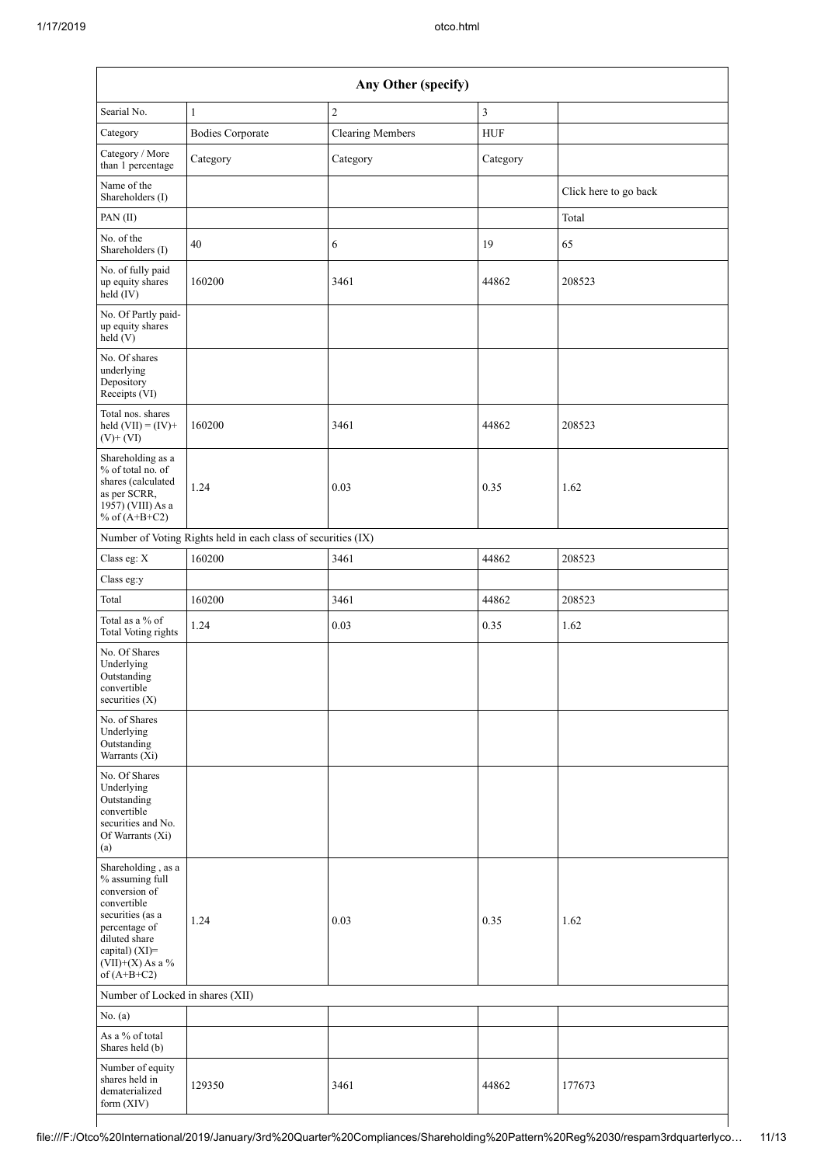|                                                                                                                                                                                      | Any Other (specify)                                           |                         |                |                       |  |  |  |  |
|--------------------------------------------------------------------------------------------------------------------------------------------------------------------------------------|---------------------------------------------------------------|-------------------------|----------------|-----------------------|--|--|--|--|
| Searial No.                                                                                                                                                                          | $\mathbf{1}$                                                  | $\overline{c}$          | $\overline{3}$ |                       |  |  |  |  |
| Category                                                                                                                                                                             | <b>Bodies Corporate</b>                                       | <b>Clearing Members</b> | ${\rm HUF}$    |                       |  |  |  |  |
| Category / More<br>than 1 percentage                                                                                                                                                 | Category                                                      | Category                | Category       |                       |  |  |  |  |
| Name of the<br>Shareholders (I)                                                                                                                                                      |                                                               |                         |                | Click here to go back |  |  |  |  |
| PAN(II)                                                                                                                                                                              |                                                               |                         |                | Total                 |  |  |  |  |
| No. of the<br>Shareholders (I)                                                                                                                                                       | 40                                                            | 6                       | 19             | 65                    |  |  |  |  |
| No. of fully paid<br>up equity shares<br>$\text{held}(\text{IV})$                                                                                                                    | 160200                                                        | 3461                    | 44862          | 208523                |  |  |  |  |
| No. Of Partly paid-<br>up equity shares<br>$\text{held} (V)$                                                                                                                         |                                                               |                         |                |                       |  |  |  |  |
| No. Of shares<br>underlying<br>Depository<br>Receipts (VI)                                                                                                                           |                                                               |                         |                |                       |  |  |  |  |
| Total nos, shares<br>held $(VII) = (IV) +$<br>$(V)$ + $(VI)$                                                                                                                         | 160200                                                        | 3461                    | 44862          | 208523                |  |  |  |  |
| Shareholding as a<br>% of total no. of<br>shares (calculated<br>as per SCRR,<br>1957) (VIII) As a<br>% of $(A+B+C2)$                                                                 | 1.24                                                          | 0.03                    | 0.35           | 1.62                  |  |  |  |  |
|                                                                                                                                                                                      | Number of Voting Rights held in each class of securities (IX) |                         |                |                       |  |  |  |  |
| Class eg: X                                                                                                                                                                          | 160200                                                        | 3461                    | 44862          | 208523                |  |  |  |  |
| Class eg:y                                                                                                                                                                           |                                                               |                         |                |                       |  |  |  |  |
| Total                                                                                                                                                                                | 160200                                                        | 3461                    | 44862          | 208523                |  |  |  |  |
| Total as a % of<br><b>Total Voting rights</b>                                                                                                                                        | 1.24                                                          | 0.03                    | 0.35           | 1.62                  |  |  |  |  |
| No. Of Shares<br>Underlying<br>Outstanding<br>convertible<br>securities (X)                                                                                                          |                                                               |                         |                |                       |  |  |  |  |
| No. of Shares<br>Underlying<br>Outstanding<br>Warrants (Xi)                                                                                                                          |                                                               |                         |                |                       |  |  |  |  |
| No. Of Shares<br>Underlying<br>Outstanding<br>convertible<br>securities and No.<br>Of Warrants (Xi)<br>(a)                                                                           |                                                               |                         |                |                       |  |  |  |  |
| Shareholding, as a<br>% assuming full<br>conversion of<br>convertible<br>securities (as a<br>percentage of<br>diluted share<br>capital) (XI)=<br>$(VII)+(X)$ As a %<br>of $(A+B+C2)$ | 1.24                                                          | 0.03                    | 0.35           | 1.62                  |  |  |  |  |
| Number of Locked in shares (XII)                                                                                                                                                     |                                                               |                         |                |                       |  |  |  |  |
| No. (a)                                                                                                                                                                              |                                                               |                         |                |                       |  |  |  |  |
| As a % of total<br>Shares held (b)                                                                                                                                                   |                                                               |                         |                |                       |  |  |  |  |
| Number of equity<br>shares held in<br>dematerialized<br>form (XIV)                                                                                                                   | 129350                                                        | 3461                    | 44862          | 177673                |  |  |  |  |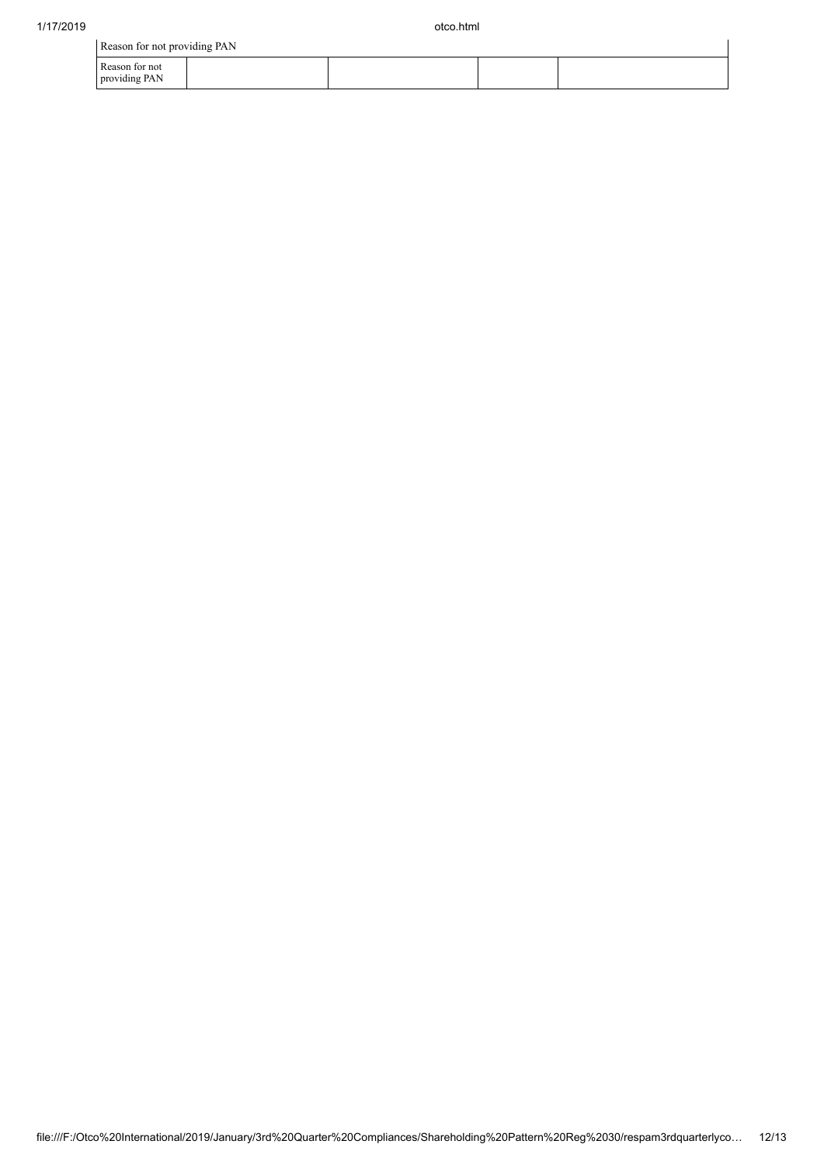| Reason for not providing PAN    |  |  |
|---------------------------------|--|--|
| Reason for not<br>providing PAN |  |  |